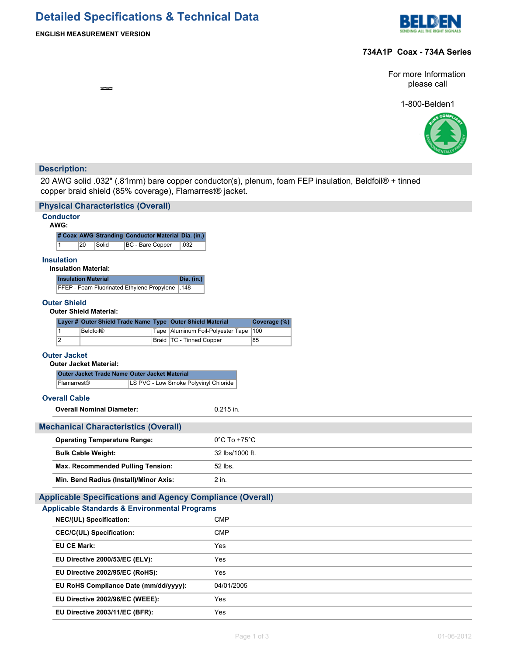# **Detailed Specifications & Technical Data**



## **ENGLISH MEASUREMENT VERSION**

巠 æ

# **734A1P Coax - 734A Series**

For more Information please call

1-800-Belden1



# **Description:**

20 AWG solid .032" (.81mm) bare copper conductor(s), plenum, foam FEP insulation, Beldfoil® + tinned copper braid shield (85% coverage), Flamarrest® jacket.

| <b>Physical Characteristics (Overall)</b>                                                              |                                     |              |  |  |  |
|--------------------------------------------------------------------------------------------------------|-------------------------------------|--------------|--|--|--|
| <b>Conductor</b>                                                                                       |                                     |              |  |  |  |
| AWG:                                                                                                   |                                     |              |  |  |  |
| # Coax AWG Stranding Conductor Material Dia. (in.)<br>20<br>BC - Bare Copper<br>$\mathbf{1}$<br>Solid  | .032                                |              |  |  |  |
|                                                                                                        |                                     |              |  |  |  |
| <b>Insulation</b><br><b>Insulation Material:</b>                                                       |                                     |              |  |  |  |
| <b>Insulation Material</b>                                                                             | Dia. (in.)                          |              |  |  |  |
| FFEP - Foam Fluorinated Ethylene Propylene   148                                                       |                                     |              |  |  |  |
| <b>Outer Shield</b>                                                                                    |                                     |              |  |  |  |
| <b>Outer Shield Material:</b>                                                                          |                                     |              |  |  |  |
| Layer # Outer Shield Trade Name Type Outer Shield Material<br>$\mathbf{1}$<br><b>Beldfoil®</b><br>Tape | Aluminum Foil-Polyester Tape<br>100 | Coverage (%) |  |  |  |
| $\overline{2}$                                                                                         | Braid   TC - Tinned Copper<br>85    |              |  |  |  |
|                                                                                                        |                                     |              |  |  |  |
| <b>Outer Jacket</b><br><b>Outer Jacket Material:</b>                                                   |                                     |              |  |  |  |
| Outer Jacket Trade Name Outer Jacket Material                                                          |                                     |              |  |  |  |
| Flamarrest®<br>LS PVC - Low Smoke Polyvinyl Chloride                                                   |                                     |              |  |  |  |
| <b>Overall Cable</b>                                                                                   |                                     |              |  |  |  |
| <b>Overall Nominal Diameter:</b>                                                                       | $0.215$ in.                         |              |  |  |  |
|                                                                                                        |                                     |              |  |  |  |
| <b>Mechanical Characteristics (Overall)</b>                                                            |                                     |              |  |  |  |
| <b>Operating Temperature Range:</b>                                                                    | $0^{\circ}$ C To +75 $^{\circ}$ C   |              |  |  |  |
| <b>Bulk Cable Weight:</b>                                                                              | 32 lbs/1000 ft.                     |              |  |  |  |
| <b>Max. Recommended Pulling Tension:</b>                                                               | 52 lbs.                             |              |  |  |  |
| Min. Bend Radius (Install)/Minor Axis:                                                                 | 2 in.                               |              |  |  |  |
| <b>Applicable Specifications and Agency Compliance (Overall)</b>                                       |                                     |              |  |  |  |
| <b>Applicable Standards &amp; Environmental Programs</b>                                               |                                     |              |  |  |  |
| NEC/(UL) Specification:                                                                                | <b>CMP</b>                          |              |  |  |  |
| <b>CEC/C(UL) Specification:</b>                                                                        | <b>CMP</b>                          |              |  |  |  |
| <b>EU CE Mark:</b>                                                                                     | Yes                                 |              |  |  |  |
| EU Directive 2000/53/EC (ELV):                                                                         | Yes                                 |              |  |  |  |
| EU Directive 2002/95/EC (RoHS):                                                                        | Yes                                 |              |  |  |  |
| EU RoHS Compliance Date (mm/dd/yyyy):                                                                  | 04/01/2005                          |              |  |  |  |
| EU Directive 2002/96/EC (WEEE):                                                                        | Yes                                 |              |  |  |  |
| EU Directive 2003/11/EC (BFR):                                                                         | Yes                                 |              |  |  |  |
|                                                                                                        |                                     |              |  |  |  |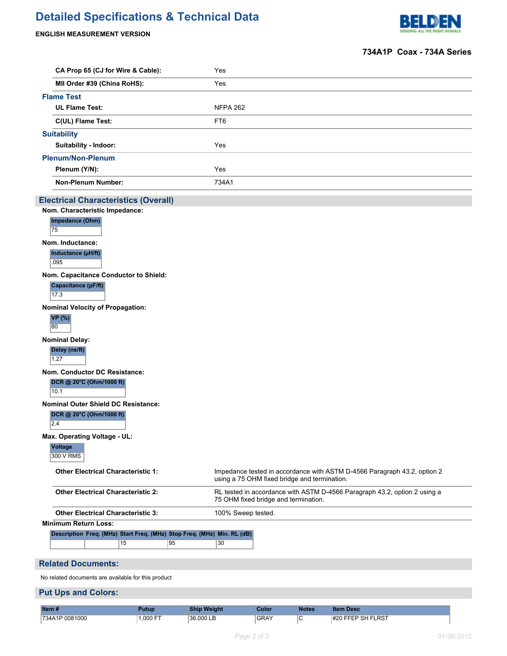# **Detailed Specifications & Technical Data**

## **ENGLISH MEASUREMENT VERSION**



# **734A1P Coax - 734A Series**

| CA Prop 65 (CJ for Wire & Cable):           | Yes             |
|---------------------------------------------|-----------------|
| MII Order #39 (China RoHS):                 | Yes             |
| <b>Flame Test</b>                           |                 |
| <b>UL Flame Test:</b>                       | <b>NFPA 262</b> |
| C(UL) Flame Test:                           | FT6             |
| <b>Suitability</b>                          |                 |
| <b>Suitability - Indoor:</b>                | Yes             |
| <b>Plenum/Non-Plenum</b>                    |                 |
| Plenum (Y/N):                               | Yes             |
| <b>Non-Plenum Number:</b>                   | 734A1           |
| <b>Electrical Characteristics (Overall)</b> |                 |
| Nom. Characteristic Impedance:              |                 |
| Impedance (Ohm)                             |                 |
| 75                                          |                 |
| Nom. Inductance:                            |                 |
| Inductance (µH/ft)                          |                 |

095

**Nom. Capacitance Conductor to Shield:**

| Capacitance (pF/ft) |  |
|---------------------|--|
| 17.3                |  |

**Nominal Velocity of Propagation: VP (%)**

|                       | <b>Nom. Conductor DC Resistance:</b> |
|-----------------------|--------------------------------------|
| 1.27                  |                                      |
| Delay (ns/ft)         |                                      |
| <b>Nominal Delay:</b> |                                      |
| 80                    |                                      |
| <b>** 1701</b>        |                                      |

**DCR @ 20°C (Ohm/1000 ft)** 10.1

**Nominal Outer Shield DC Resistance:**

**DCR @ 20°C (Ohm/1000 ft)**

2.4

**Max. Operating Voltage - UL:**

#### **Voltage** 300 V RMS

| <b>Other Electrical Characteristic 1:</b>                               | Impedance tested in accordance with ASTM D-4566 Paragraph 43.2, option 2<br>using a 75 OHM fixed bridge and termination. |
|-------------------------------------------------------------------------|--------------------------------------------------------------------------------------------------------------------------|
| <b>Other Electrical Characteristic 2:</b>                               | RL tested in accordance with ASTM D-4566 Paragraph 43.2, option 2 using a<br>75 OHM fixed bridge and termination.        |
| <b>Other Electrical Characteristic 3:</b>                               | 100% Sweep tested.                                                                                                       |
| Minimum Return Loss:                                                    |                                                                                                                          |
| Description Freq. (MHz) Start Freq. (MHz) Stop Freq. (MHz) Min. RL (dB) |                                                                                                                          |

15 | 95 | 30

## **Related Documents:**

No related documents are available for this product

## **Put Ups and Colors:**

| Item *                       | atur              | nam          | iolor       | Votes |                                                        |
|------------------------------|-------------------|--------------|-------------|-------|--------------------------------------------------------|
| 0081000<br>$1734\Delta$<br>. | $-$<br>. ೧೧೧<br>. | 136.00c<br>. | <b>GRAY</b> | ັ     | <b>IFLRST</b><br>$\cdots$<br>$\sim$ $\sim$<br>.<br>৲⊧. |